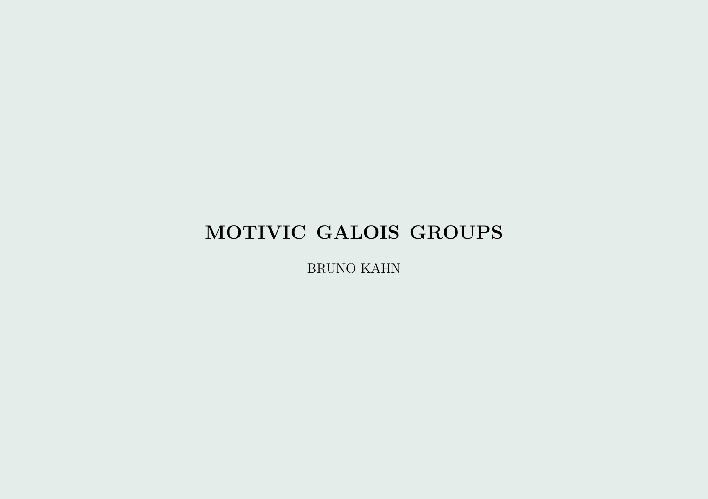# MOTIVIC GALOIS GROUPS

BRUNO KAHN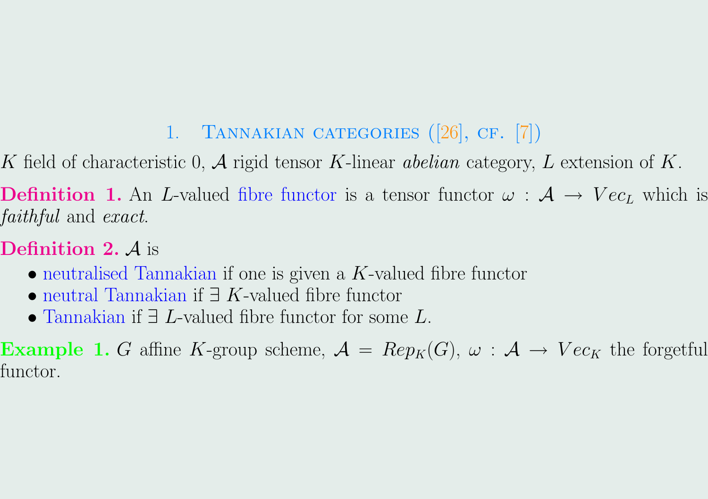# 1. Tannakian categories ([\[26\]](#page-19-0), cf. [\[7\]](#page-19-0))

<span id="page-1-0"></span>K field of characteristic 0, A rigid tensor K-linear *abelian* category, L extension of K.

**Definition 1.** An L-valued fibre functor is a tensor functor  $\omega$  :  $\mathcal{A} \rightarrow Vec_L$  which is faithful and exact.

# **Definition 2.**  $\mathcal{A}$  is

- neutralised Tannakian if one is given a  $K$ -valued fibre functor
- neutral Tannakian if  $\exists K$ -valued fibre functor
- Tannakian if ∃ L-valued fibre functor for some L.

**Example 1.** G affine K-group scheme,  $\mathcal{A} = Rep_K(G), \ \omega : \mathcal{A} \to Vec_K$  the forgetful functor.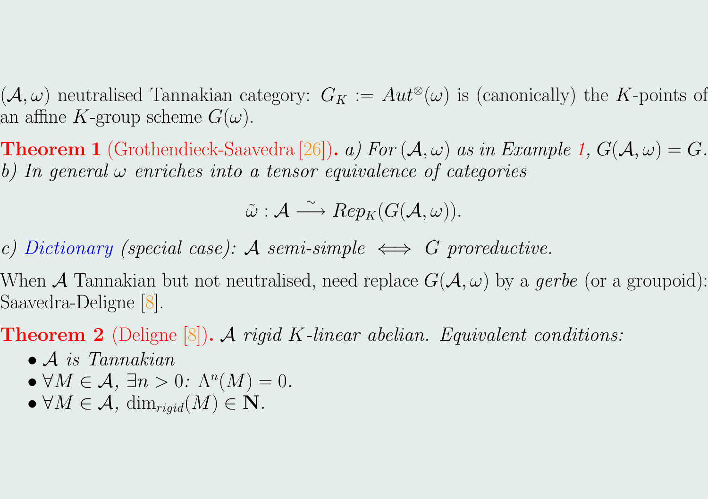$(\mathcal{A}, \omega)$  neutralised Tannakian category:  $G_K := Aut^{\otimes}(\omega)$  is (canonically) the K-points of an affine K-group scheme  $G(\omega)$ .

**Theorem 1** (Grothendieck-Saavedra [\[26\]](#page-19-0)). a) For  $(A, \omega)$  as in Example [1,](#page-1-0)  $G(A, \omega) = G$ . b) In general  $\omega$  enriches into a tensor equivalence of categories

 $\tilde{\omega}: \mathcal{A} \stackrel{\sim}{\longrightarrow} Rep_{K}(G(\mathcal{A},\omega)).$ 

c) Dictionary (special case): A semi-simple  $\iff$  G proreductive.

When A Tannakian but not neutralised, need replace  $G(A, \omega)$  by a gerbe (or a groupoid): Saavedra-Deligne [\[8\]](#page-19-0).

**Theorem 2** (Deligne  $[8]$ ). A rigid K-linear abelian. Equivalent conditions:

- $\bullet$  A is Tannakian
- $\forall M \in \mathcal{A}, \exists n > 0: \Lambda^n(M) = 0.$
- $\forall M \in \mathcal{A}$ ,  $\dim_{rigid}(M) \in \mathbf{N}$ .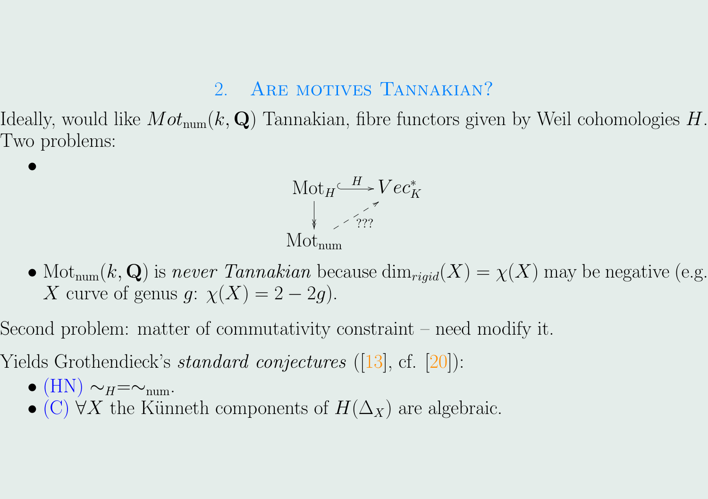#### 2. ARE MOTIVES TANNAKIAN?

Ideally, would like  $Mot_{num}(k, \mathbf{Q})$  Tannakian, fibre functors given by Weil cohomologies H. Two problems:



- Mot<sub>num</sub> $(k, Q)$  is never Tannakian because  $\dim_{rigid}(X) = \chi(X)$  may be negative (e.g. X curve of genus q:  $\chi(X) = 2 - 2q$ .
- Second problem: matter of commutativity constraint need modify it.
- Yields Grothendieck's *standard conjectures* ([\[13\]](#page-19-0), cf. [\[20\]](#page-19-0)):
	- $\bullet$  (HN)  $\sim_H=\sim_{\text{num}}$ .

•

• (C)  $\forall X$  the Künneth components of  $H(\Delta_X)$  are algebraic.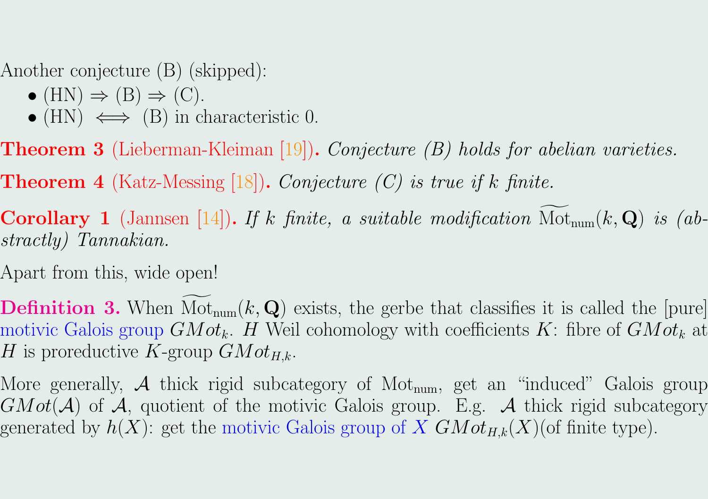Another conjecture (B) (skipped):

- $\bullet$  (HN)  $\Rightarrow$  (B)  $\Rightarrow$  (C).
- (HN)  $\iff$  (B) in characteristic 0.
- **Theorem 3** (Lieberman-Kleiman [\[19\]](#page-19-0)). Conjecture  $(B)$  holds for abelian varieties.
- **Theorem 4** (Katz-Messing [\[18\]](#page-19-0)). Conjecture  $(C)$  is true if k finite.
- **Corollary 1** (Jannsen [\[14\]](#page-19-0)). If k finite, a suitable modification  $Mot_{num}(k, Q)$  is (abstractly) Tannakian.
- Apart from this, wide open!
- **Definition 3.** When  $\text{Mot}_{num}(k, \mathbf{Q})$  exists, the gerbe that classifies it is called the [pure] motivic Galois group  $GMot_k$ . H Weil cohomology with coefficients K: fibre of  $GMot_k$  at H is proreductive K-group  $GMot_{H,k}$ .
- More generally,  $\mathcal A$  thick rigid subcategory of Mot<sub>num</sub>, get an "induced" Galois group  $GMot(\mathcal{A})$  of  $\mathcal{A}$ , quotient of the motivic Galois group. E.g.  $\mathcal{A}$  thick rigid subcategory generated by  $h(X)$ : get the motivic Galois group of X  $GMot_{H,k}(X)$  (of finite type).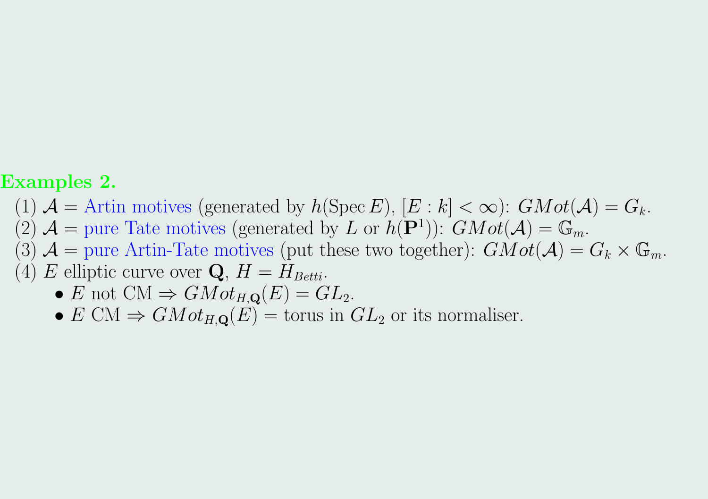#### Examples 2.

- (1)  $\mathcal{A} =$  Artin motives (generated by  $h(\text{Spec } E)$ ,  $[E : k] < \infty$ ):  $GMot(\mathcal{A}) = G_k$ .
- $(2)$   $\mathcal{A}$  = pure Tate motives (generated by L or  $h(\mathbf{P}^1)$ ):  $GMot(\mathcal{A}) = \mathbb{G}_m$ .
- (3)  $\mathcal{A} =$  pure Artin-Tate motives (put these two together):  $GMot(\mathcal{A}) = G_k \times \mathbb{G}_m$ .
- (4) E elliptic curve over **Q**,  $H = H_{Betti}$ .
	- E not CM  $\Rightarrow$  GMot<sub>H,Q</sub>(E) = GL<sub>2</sub>.
	- $E \text{ CM} \Rightarrow G M o t_{H, \mathbf{Q}}(E) = \text{torus in } GL_2 \text{ or its normaliser.}$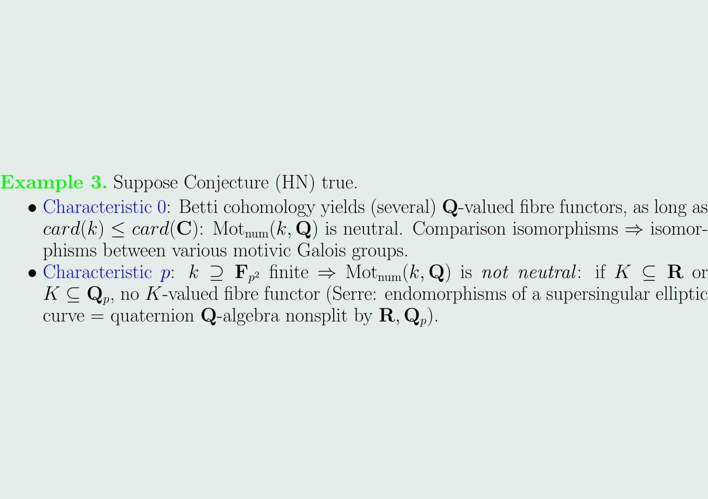**Example 3.** Suppose Conjecture (HN) true.

- Characteristic 0: Betti cohomology yields (several) Q-valued fibre functors, as long as  $card(k) \leq card(\mathbf{C})$ : Mot<sub>num</sub> $(k, \mathbf{Q})$  is neutral. Comparison isomorphisms  $\Rightarrow$  isomorphisms between various motivic Galois groups.
- Characteristic p:  $k \supseteq \mathbf{F}_{p^2}$  finite  $\Rightarrow$  Mot<sub>num</sub> $(k, \mathbf{Q})$  is not neutral: if  $K \subseteq \mathbf{R}$  or  $K \subseteq \mathbf{Q}_p$ , no K-valued fibre functor (Serre: endomorphisms of a supersingular elliptic curve = quaternion **Q**-algebra nonsplit by  $\mathbf{R}, \mathbf{Q}_p$ .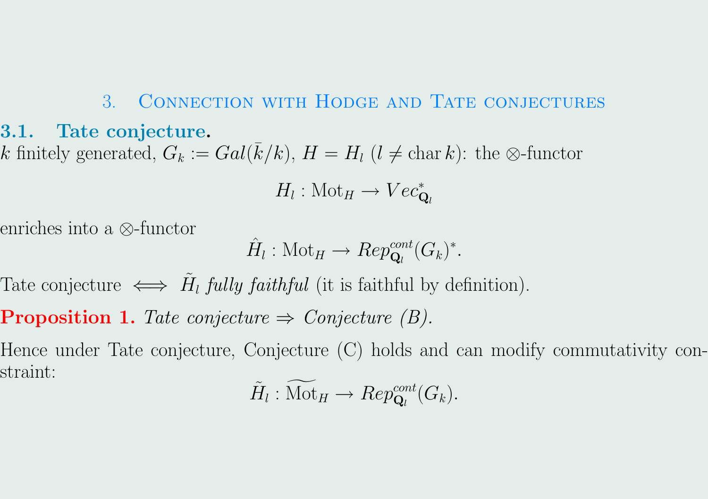# 3. CONNECTION WITH HODGE AND TATE CONJECTURES 3.1. Tate conjecture. k finitely generated,  $G_k := Gal(\bar{k}/k)$ ,  $H = H_l$  ( $l \neq \text{char } k$ ): the ⊗-functor

$$
H_l: \text{Mot}_H \to Vec_{\mathbf{Q}_l}^*
$$

enriches into a ⊗-functor

$$
\hat{H}_l: \text{Mot}_H \to Rep_{\mathbf{Q}_l}^{cont}(G_k)^*.
$$

Tate conjecture  $\iff \tilde{H}_l$  fully faithful (it is faithful by definition).

**Proposition 1.** Tate conjecture  $\Rightarrow$  Conjecture (B).

Hence under Tate conjecture, Conjecture (C) holds and can modify commutativity constraint:

$$
\tilde{H}_l : \widetilde{\mathrm{Mot}}_H \to Rep_{\mathbf{Q}_l}^{cont}(G_k).
$$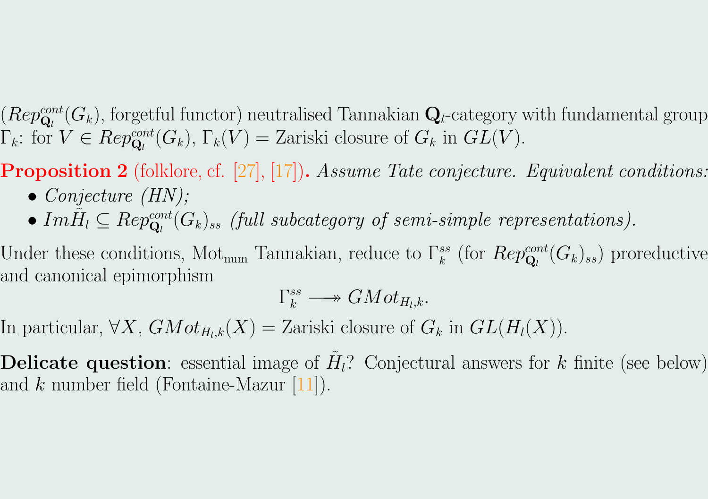$(\mathit{Rep}^{cont}_{\mathbf{Q}_l}(G_k),$  forgetful functor) neutralised Tannakian  $\mathbf{Q}_l$ -category with fundamental group  $\Gamma_k$ : for  $V \in Rep_{\mathbf{Q}_l}^{cont}(G_k)$ ,  $\Gamma_k(V) =$  Zariski closure of  $G_k$  in  $GL(V)$ .

**Proposition 2** (folklore, cf. [\[27\]](#page-19-0), [\[17\]](#page-19-0)). Assume Tate conjecture. Equivalent conditions:

- Conjecture  $(HN)$ ;
- $Im \tilde{H}_l \subseteq Rep_{\mathbf{Q}_l}^{cont}(G_k)_{ss}$  (full subcategory of semi-simple representations).

Under these conditions, Mot<sub>num</sub> Tannakian, reduce to  $\Gamma_k^{ss}$  (for  $Rep_{\mathbf{Q}_l}^{cont}(G_k)_{ss}$ ) proreductive and canonical epimorphism

$$
\Gamma_k^{ss} \longrightarrow GMot_{H_l,k}.
$$

In particular,  $\forall X$ ,  $GMot_{H_l,k}(X) = Zariski$  closure of  $G_k$  in  $GL(H_l(X))$ .

**Delicate question**: essential image of  $H_l$ ? Conjectural answers for k finite (see below) and  $k$  number field (Fontaine-Mazur [\[11\]](#page-19-0)).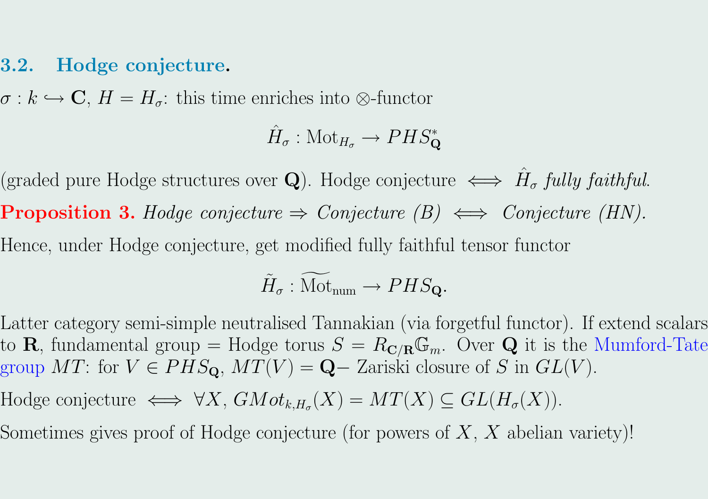#### 3.2. Hodge conjecture.

 $\sigma : k \hookrightarrow \mathbf{C}, H = H_{\sigma}$ : this time enriches into ⊗-functor

$$
\hat{H}_{\sigma}:\mathrm{Mot}_{H_{\sigma}}\rightarrow PHS_{\mathbf{Q}}^*
$$

(graded pure Hodge structures over **Q**). Hodge conjecture  $\iff \hat{H}_{\sigma}$  fully faithful. **Proposition 3.** Hodge conjecture  $\Rightarrow$  Conjecture (B)  $\iff$  Conjecture (HN). Hence, under Hodge conjecture, get modified fully faithful tensor functor

$$
\widetilde{H}_{\sigma} : \widetilde{\mathrm{Mot}}_{\mathrm{num}} \to PHS_{\mathbf{Q}}.
$$

Latter category semi-simple neutralised Tannakian (via forgetful functor). If extend scalars to **R**, fundamental group = Hodge torus  $S = R_{\mathbf{C}/\mathbf{R}}\mathbb{G}_m$ . Over **Q** it is the Mumford-Tate group MT: for  $V \in PHS_{\mathbf{Q}}, MT(V) = \mathbf{Q}$  – Zariski closure of S in  $GL(V)$ .

Hodge conjecture  $\iff \forall X$ ,  $GMot_{k,H_{\sigma}}(X) = MT(X) \subseteq GL(H_{\sigma}(X))$ .

Sometimes gives proof of Hodge conjecture (for powers of  $X, X$  abelian variety)!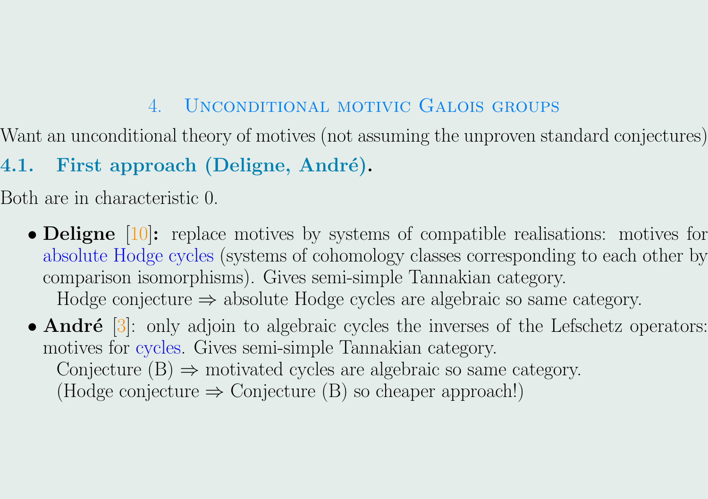## 4. Unconditional motivic Galois groups

Want an unconditional theory of motives (not assuming the unproven standard conjectures)

4.1. First approach (Deligne, André).

Both are in characteristic 0.

• **Deligne** [\[10\]](#page-19-0): replace motives by systems of compatible realisations: motives for absolute Hodge cycles (systems of cohomology classes corresponding to each other by comparison isomorphisms). Gives semi-simple Tannakian category. Hodge conjecture  $\Rightarrow$  absolute Hodge cycles are algebraic so same category.

• André  $[3]$ : only adjoin to algebraic cycles the inverses of the Lefschetz operators: motives for cycles. Gives semi-simple Tannakian category. Conjecture  $(B) \Rightarrow$  motivated cycles are algebraic so same category. (Hodge conjecture  $\Rightarrow$  Conjecture (B) so cheaper approach!)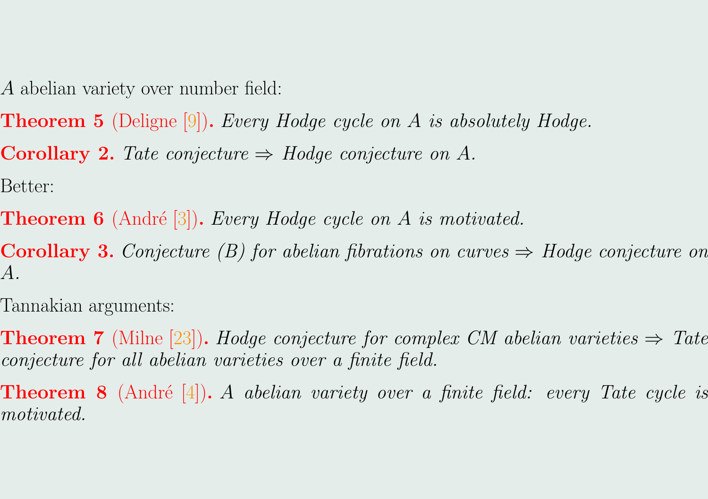A abelian variety over number field:

- **Theorem 5** (Deligne [\[9\]](#page-19-0)). Every Hodge cycle on A is absolutely Hodge.
- **Corollary 2.** Tate conjecture  $\Rightarrow$  Hodge conjecture on A.

Better:

**Theorem 6** (André [\[3\]](#page-19-0)). Every Hodge cycle on A is motivated.

**Corollary 3.** Conjecture (B) for abelian fibrations on curves  $\Rightarrow$  Hodge conjecture on A.

Tannakian arguments:

- **Theorem 7** (Milne [\[23\]](#page-19-0)). Hodge conjecture for complex CM abelian varieties  $\Rightarrow$  Tate conjecture for all abelian varieties over a finite field.
- **Theorem 8** (André [\[4\]](#page-19-0)). A abelian variety over a finite field: every Tate cycle is motivated.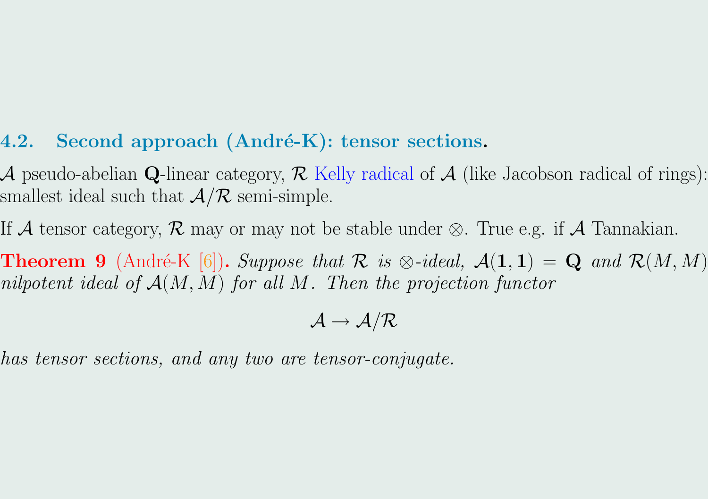## <span id="page-12-0"></span>4.2. Second approach  $(Andr\acute{e}-K)$ : tensor sections.

A pseudo-abelian Q-linear category,  $\mathcal R$  Kelly radical of  $\mathcal A$  (like Jacobson radical of rings): smallest ideal such that  $A/R$  semi-simple.

If A tensor category, R may or may not be stable under  $\otimes$ . True e.g. if A Tannakian.

**Theorem 9** (André-K [\[6\]](#page-19-0)). Suppose that  $\mathcal{R}$  is  $\otimes$ -ideal,  $\mathcal{A}(1,1) = \mathbf{Q}$  and  $\mathcal{R}(M,M)$ nilpotent ideal of  $A(M, M)$  for all M. Then the projection functor

$$
\mathcal{A}\to\mathcal{A/R}
$$

has tensor sections, and any two are tensor-conjugate.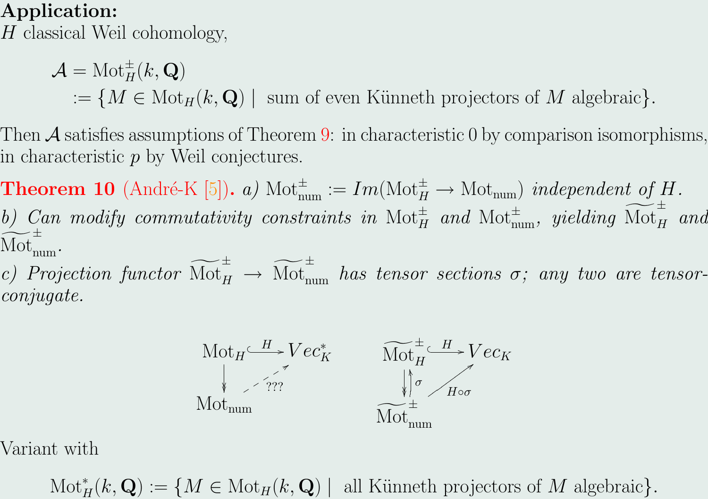## Application:

H classical Weil cohomology,

 $\mathcal{A}=\text{Mot}^\pm_H(k,\mathbf{Q})$ :=  $\{M \in \text{Mot}_H(k, \mathbf{Q}) \mid \text{ sum of even Kümneth projectors of } M \text{ algebraic}\}.$ 

Then  $\mathcal A$  satisfies assumptions of Theorem [9:](#page-12-0) in characteristic 0 by comparison isomorphisms, in characteristic  $p$  by Weil conjectures.

**Theorem 10** (André-K [\[5\]](#page-19-0)). a)  $\text{Mot}_{num}^{\pm} := Im(\text{Mot}_{H}^{\pm} \rightarrow \text{Mot}_{num})$  independent of H. b) Can modify commutativity constraints in  $\text{Mot}_{H}^{\pm}$  and  $\text{Mot}_{num}^{\pm}$ , yielding  $\widetilde{\text{Mot}}_{H}^{\pm}$  and  $\widetilde{\widetilde{\mathrm{Mot}}}_{\mathrm{num}}^{\pm}$ .

c) Projection functor  $\widetilde{\text{Mot}}_H^{\pm} \to \widetilde{\text{Mot}}_{\text{num}}^{\pm}$  has tensor sections  $\sigma$ ; any two are tensorconjugate.



Variant with

 $\text{Mot}_{H}^{*}(k, \mathbf{Q}) := \{ M \in \text{Mot}_{H}(k, \mathbf{Q}) \mid \text{ all Künneth projectors of } M \text{ algebraic} \}.$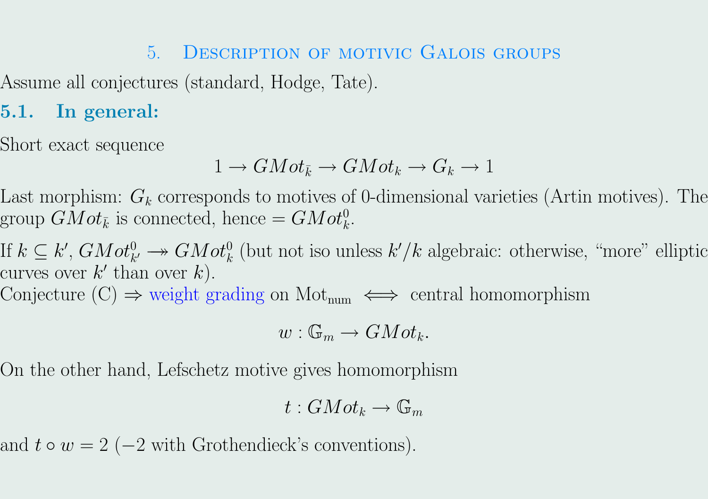## 5. Description of motivic Galois groups

Assume all conjectures (standard, Hodge, Tate).

# 5.1. In general:

Short exact sequence

$$
1 \to GMot_{\bar{k}} \to GMot_k \to G_k \to 1
$$

Last morphism:  $G_k$  corresponds to motives of 0-dimensional varieties (Artin motives). The group  $GMot_{\bar{k}}$  is connected, hence  $= GMot_{k}^{0}$ .

If  $k \subseteq k'$ ,  $GMot_{k'}^0 \longrightarrow GMot_k^0$  (but not iso unless  $k'/k$  algebraic: otherwise, "more" elliptic curves over  $k'$  than over  $k$ ).

Conjecture  $(C) \Rightarrow$  weight grading on Mot<sub>num</sub>  $\iff$  central homomorphism

$$
w: \mathbb{G}_m \to GMot_k.
$$

On the other hand, Lefschetz motive gives homomorphism

$$
t: GMot_k \to \mathbb{G}_m
$$

and  $t \circ w = 2$  (-2 with Grothendieck's conventions).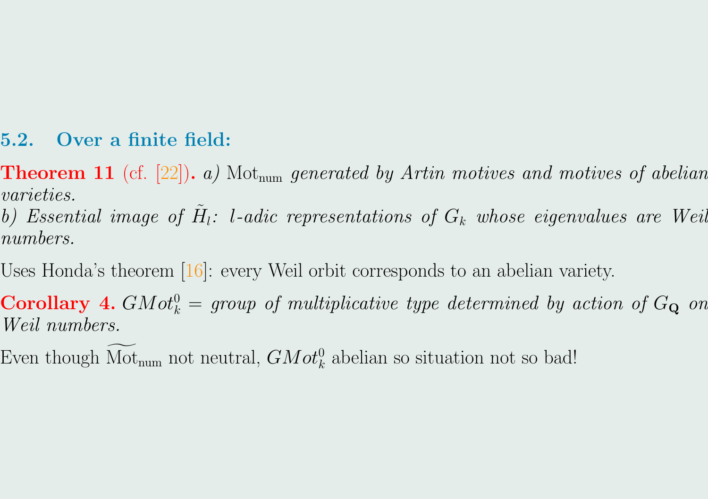#### 5.2. Over a finite field:

- **Theorem 11** (cf. [\[22\]](#page-19-0)). a) Mot<sub>num</sub> generated by Artin motives and motives of abelian varieties.
- b) Essential image of  $\tilde{H}_l$ : l-adic representations of  $G_k$  whose eigenvalues are Weil numbers.
- Uses Honda's theorem [\[16\]](#page-19-0): every Weil orbit corresponds to an abelian variety.
- **Corollary 4.** GMot<sub>k</sub><sup>0</sup> = group of multiplicative type determined by action of  $G_Q$  on Weil numbers.
- Even though Mot<sub>num</sub> not neutral,  $GMot_k^0$  abelian so situation not so bad!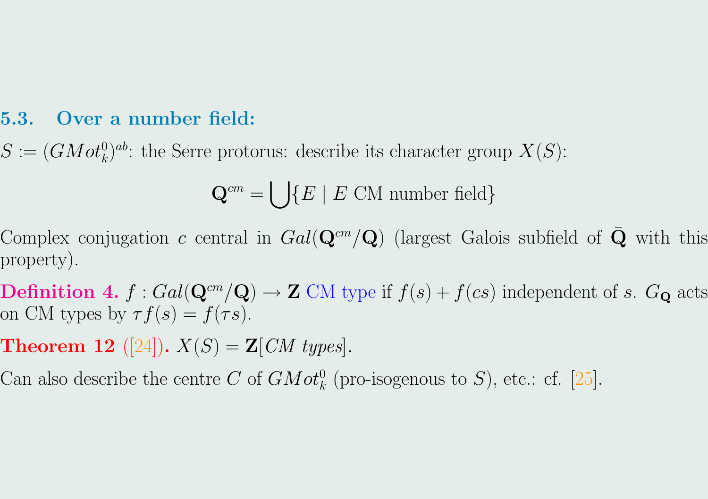#### 5.3. Over a number field:

 $S := (GMot_k^0)^{ab}$ : the Serre protorus: describe its character group  $X(S)$ :

$$
\mathbf{Q}^{cm} = \bigcup \{ E \mid E \text{ CM number field} \}
$$

Complex conjugation c central in  $Gal(\mathbf{Q}^{cm}/\mathbf{Q})$  (largest Galois subfield of  $\bar{\mathbf{Q}}$  with this property).

**Definition 4.**  $f : Gal(\mathbf{Q}^{cm}/\mathbf{Q}) \to \mathbf{Z}$  CM type if  $f(s) + f(cs)$  independent of s.  $G_{\mathbf{Q}}$  acts on CM types by  $\tau f(s) = f(\tau s)$ .

**Theorem 12** ([\[24\]](#page-19-0)).  $X(S) = \mathbf{Z}[CM \text{ types}].$ 

Can also describe the centre C of  $GMot_k^0$  (pro-isogenous to S), etc.: cf. [\[25\]](#page-19-0).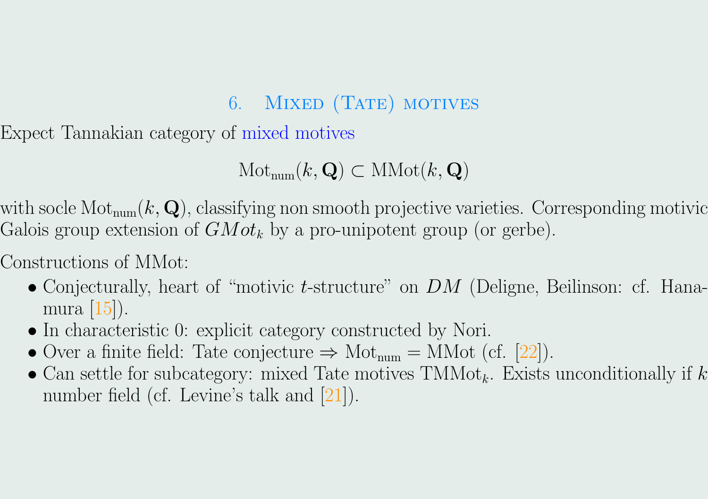# 6. MIXED (TATE) MOTIVES

Expect Tannakian category of mixed motives

 $\text{Mot}_{num}(k, \mathbf{Q}) \subset \text{MMot}(k, \mathbf{Q})$ 

with socle  $\text{Mot}_{\text{num}}(k, \mathbf{Q})$ , classifying non smooth projective varieties. Corresponding motivic Galois group extension of  $GMot_k$  by a pro-unipotent group (or gerbe).

Constructions of MMot:

- Conjecturally, heart of "motivic *t*-structure" on  $DM$  (Deligne, Beilinson: cf. Hanamura [\[15\]](#page-19-0)).
- In characteristic 0: explicit category constructed by Nori.
- Over a finite field: Tate conjecture  $\Rightarrow$  Mot<sub>num</sub> = MMot (cf. [\[22\]](#page-19-0)).
- Can settle for subcategory: mixed Tate motives  $TMMot_k$ . Exists unconditionally if k number field (cf. Levine's talk and [\[21\]](#page-19-0)).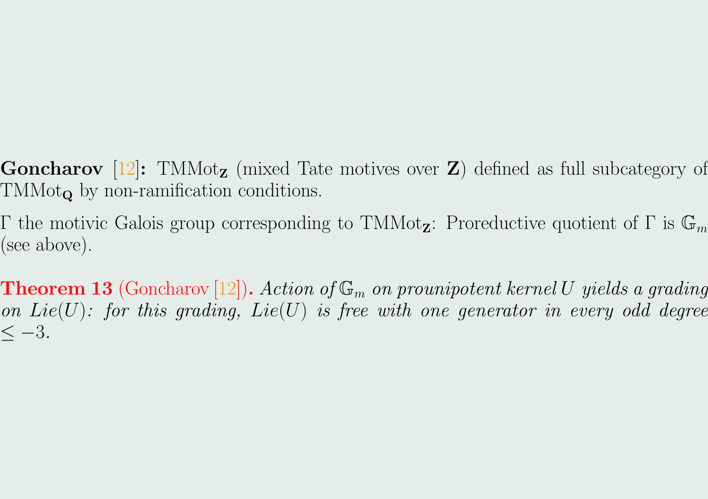- **Goncharov** [\[12\]](#page-19-0): TMMot<sub>z</sub> (mixed Tate motives over **Z**) defined as full subcategory of  $TMMot_{\mathbf{Q}}$  by non-ramification conditions.
- Γ the motivic Galois group corresponding to TMMot<sub>z</sub>: Proreductive quotient of Γ is  $\mathbb{G}_m$ (see above).
- **Theorem 13** (Goncharov [\[12\]](#page-19-0)). Action of  $\mathbb{G}_m$  on prounipotent kernel U yields a grading on  $Lie(U)$ : for this grading,  $Lie(U)$  is free with one generator in every odd degree  $<-3.$